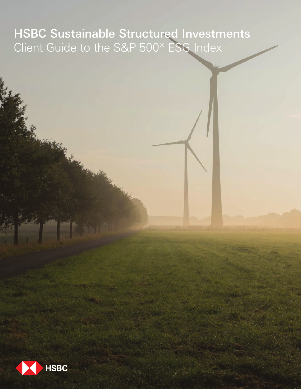# HSBC Sustainable Structured Investments Client Guide to the S&P 500® ESG Index

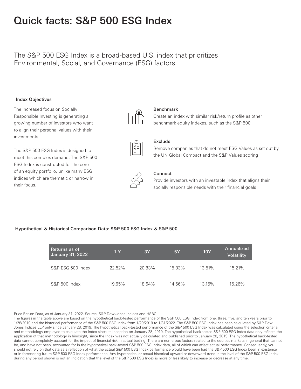## Quick facts: S&P 500 ESG Index

### The S&P 500 ESG Index is a broad-based U.S. index that prioritizes Environmental, Social, and Governance (ESG) factors.

### Index Objectives

The increased focus on Socially Responsible Investing is generating a growing number of investors who want to align their personal values with their investments.

The S&P 500 ESG Index is designed to meet this complex demand. The S&P 500 ESG Index is constructed for the core of an equity portfolio, unlike many ESG indices which are thematic or narrow in their focus.



### Benchmark

Create an index with similar risk/return profile as other benchmark equity indexes, such as the S&P 500



### Exclude

Remove companies that do not meet ESG Values as set out by the UN Global Compact and the S&P Values scoring



### Connect

Provide investors with an investable index that aligns their socially responsible needs with their financial goals

### Hypothetical & Historical Comparison Data: S&P 500 ESG Index & S&P 500

| Returns as of<br><b>January 31, 2022</b> | 1Y        | 3Y     | 5Y     | <b>10Y</b> | Annualized<br><b>Volatility</b> |
|------------------------------------------|-----------|--------|--------|------------|---------------------------------|
| S&P ESG 500 Index                        | $22.52\%$ | 20.83% | 15.83% | 13.51%     | 15.21%                          |
| S&P 500 Index                            | 19.65%    | 18.64% | 14.66% | $13.15\%$  | 15.26%                          |

#### Price Return Data, as of January 31, 2022. Source: S&P Dow Jones Indices and HSBC

The figures in the table above are based on the hypothetical back-tested performance of the S&P 500 ESG Index from one, three, five, and ten years prior to 1/28/2019 and the historical performance of the S&P 500 ESG Index from 1/29/2019 to 1/31/2022. The S&P 500 ESG Index has been calculated by S&P Dow Jones Indices LLP only since January 28, 2019. The hypothetical back-tested performance of the S&P 500 ESG Index was calculated using the selection criteria and methodology employed to calculate the Index since its inception on January 28, 2019. The hypothetical back-tested S&P 500 ESG Index data only reflects the application of that methodology in hindsight, since the Index was not actually calculated and published prior to January 28, 2019. The hypothetical back-tested data cannot completely account for the impact of financial risk in actual trading. There are numerous factors related to the equities markets in general that cannot be, and have not been, accounted for in the hypothetical back-tested S&P 500 ESG Index data, all of which can affect actual performance. Consequently, you should not rely on that data as a reflection of what the actual S&P 500 ESG Index performance would have been had the S&P 500 ESG Index been in existence or in forecasting future S&P 500 ESG Index performance. Any hypothetical or actual historical upward or downward trend in the level of the S&P 500 ESG Index during any period shown is not an indication that the level of the S&P 500 ESG Index is more or less likely to increase or decrease at any time.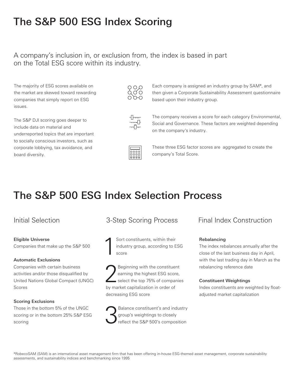# The S&P 500 ESG Index Scoring

A company's inclusion in, or exclusion from, the index is based in part on the Total ESG score within its industry.

The majority of ESG scores available on the market are skewed toward rewarding companies that simply report on ESG issues.

The S&P DJI scoring goes deeper to include data on material and underreported topics that are important to socially conscious investors, such as corporate lobbying, tax avoidance, and board diversity.





Each company is assigned an industry group by SAM\*, and then given a Corporate Sustainability Assessment questionnaire based upon their industry group.

The company receives a score for each category Environmental, Social and Governance. These factors are weighted depending on the company's industry.



These three ESG factor scores are aggregated to create the company's Total Score.

# The S&P 500 ESG Index Selection Process

### Eligible Universe

Companies that make up the S&P 500

### Automatic Exclusions

Companies with certain business activities and/or those disqualified by United Nations Global Compact (UNGC) Scores

### Scoring Exclusions

Those in the bottom 5% of the UNGC scoring or in the bottom 25% S&P ESG scoring

### Initial Selection 3-Step Scoring Process Final Index Construction

1 Sort constituents, within their industry group, according to ESG score

Peginning with the constituent<br>
earning the highest ESG score,<br>
select the top 75% of companies earning the highest ESG score, by market capitalization in order of decreasing ESG score

Balance constituent's and industry<br>group's weightings to closely<br>reflect the S&P 500's composition group's weightings to closely

### Rebalancing

The index rebalances annually after the close of the last business day in April, with the last trading day in March as the rebalancing reference date

### Constituent Weightings

Index constituents are weighted by floatadjusted market capitalization

\*RobecoSAM (SAM) is an international asset management firm that has been offering in-house ESG-themed asset management, corporate sustainability assessments, and sustainability indices and benchmarking since 1995